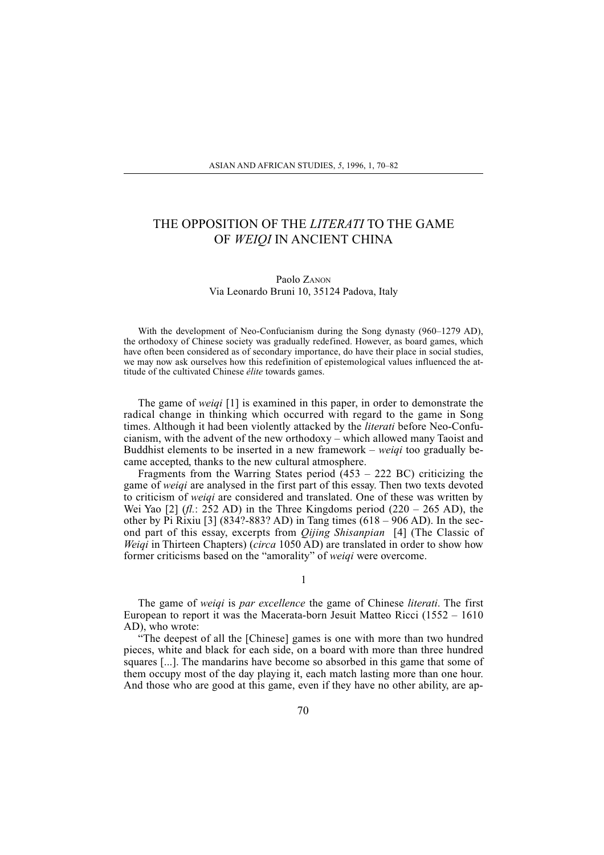## THE OPPOSITION OF THE LITERATI TO THE GAME OF WEIQI IN ANCIENT CHINA

## Paolo ZANON Via Leonardo Bruni 10, 35124 Padova, Italy

With the development of Neo-Confucianism during the Song dynasty  $(960-1279$  AD), the orthodoxy of Chinese society was gradually redefined. However, as board games, which have often been considered as of secondary importance, do have their place in social studies, we may now ask ourselves how this redefinition of epistemological values influenced the attitude of the cultivated Chinese élite towards games.

The game of *weigi* [1] is examined in this paper, in order to demonstrate the radical change in thinking which occurred with regard to the game in Song times. Although it had been violently attacked by the literati before Neo-Confucianism, with the advent of the new orthodoxy  $-$  which allowed many Taoist and Buddhist elements to be inserted in a new framework  $-$  weigi too gradually became accepted, thanks to the new cultural atmosphere.

Fragments from the Warring States period  $(453 - 222 \text{ BC})$  criticizing the game of weiqi are analysed in the first part of this essay. Then two texts devoted to criticism of weiqi are considered and translated. One of these was written by Wei Yao [2] (*fl.*: 252 AD) in the Three Kingdoms period (220 – 265 AD), the other by Pi Rixiu [3]  $(834? - 883?$  AD) in Tang times  $(618 - 906$  AD). In the second part of this essay, excerpts from *Oijing Shisanpian* [4] (The Classic of *Weigi* in Thirteen Chapters) (*circa* 1050 AD) are translated in order to show how former criticisms based on the "amorality" of weiqi were overcome.

1

The game of weiqi is par excellence the game of Chinese literati. The first European to report it was the Macerata-born Jesuit Matteo Ricci  $(1552 - 1610)$ AD), who wrote:

The deepest of all the [Chinese] games is one with more than two hundred pieces, white and black for each side, on a board with more than three hundred squares [...]. The mandarins have become so absorbed in this game that some of them occupy most of the day playing it, each match lasting more than one hour. And those who are good at this game, even if they have no other ability, are ap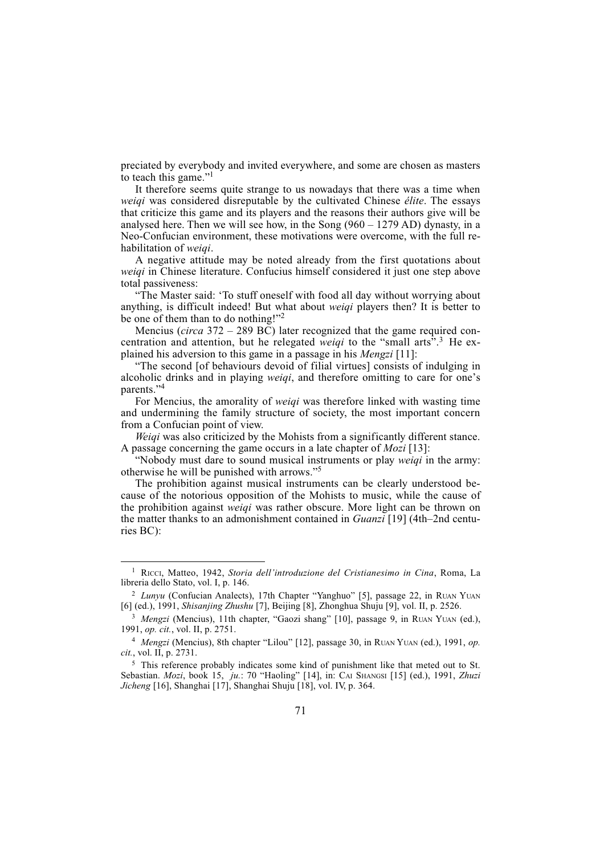preciated by everybody and invited everywhere, and some are chosen as masters to teach this game." $\frac{1}{1}$ 

It therefore seems quite strange to us nowadays that there was a time when weiqi was considered disreputable by the cultivated Chinese élite. The essays that criticize this game and its players and the reasons their authors give will be analysed here. Then we will see how, in the Song  $(960 - 1279 \text{ AD})$  dynasty, in a Neo-Confucian environment, these motivations were overcome, with the full rehabilitation of weigi.

A negative attitude may be noted already from the first quotations about weiqi in Chinese literature. Confucius himself considered it just one step above total passiveness:

The Master said: To stuff oneself with food all day without worrying about anything, is difficult indeed! But what about *weigi* players then? It is better to be one of them than to do nothing!"<sup>2</sup>

Mencius (*circa* 372 – 289 BC) later recognized that the game required concentration and attention, but he relegated *weigi* to the "small arts".<sup>3</sup> He explained his adversion to this game in a passage in his Mengzi [11]:

The second [of behaviours devoid of filial virtues] consists of indulging in alcoholic drinks and in playing *weiqi*, and therefore omitting to care for one's parents."4

For Mencius, the amorality of weiqi was therefore linked with wasting time and undermining the family structure of society, the most important concern from a Confucian point of view.

Weiqi was also criticized by the Mohists from a significantly different stance. A passage concerning the game occurs in a late chapter of *Mozi* [13]:

"Nobody must dare to sound musical instruments or play weigi in the army: otherwise he will be punished with arrows."<sup>5</sup>

The prohibition against musical instruments can be clearly understood because of the notorious opposition of the Mohists to music, while the cause of the prohibition against *weigi* was rather obscure. More light can be thrown on the matter thanks to an admonishment contained in  $Guanzi$  [19] (4th–2nd centuries BC):

<sup>&</sup>lt;sup>1</sup> RICCI, Matteo, 1942, Storia dell'introduzione del Cristianesimo in Cina, Roma, La libreria dello Stato, vol. I, p. 146.

<sup>&</sup>lt;sup>2</sup> Lunyu (Confucian Analects), 17th Chapter "Yanghuo" [5], passage 22, in RUAN YUAN [6] (ed.), 1991, Shisanjing Zhushu [7], Beijing [8], Zhonghua Shuju [9], vol. II, p. 2526.

<sup>&</sup>lt;sup>3</sup> Mengzi (Mencius), 11th chapter, "Gaozi shang" [10], passage 9, in RUAN YUAN (ed.), 1991, op. cit., vol. II, p. 2751.

 $4$  Mengzi (Mencius), 8th chapter "Lilou" [12], passage 30, in RUAN YUAN (ed.), 1991, op. cit., vol. II, p. 2731.

<sup>&</sup>lt;sup>5</sup> This reference probably indicates some kind of punishment like that meted out to St. Sebastian. Mozi, book 15, ju.: 70 "Haoling" [14], in: CAI SHANGSI [15] (ed.), 1991, Zhuzi Jicheng [16], Shanghai [17], Shanghai Shuju [18], vol. IV, p. 364.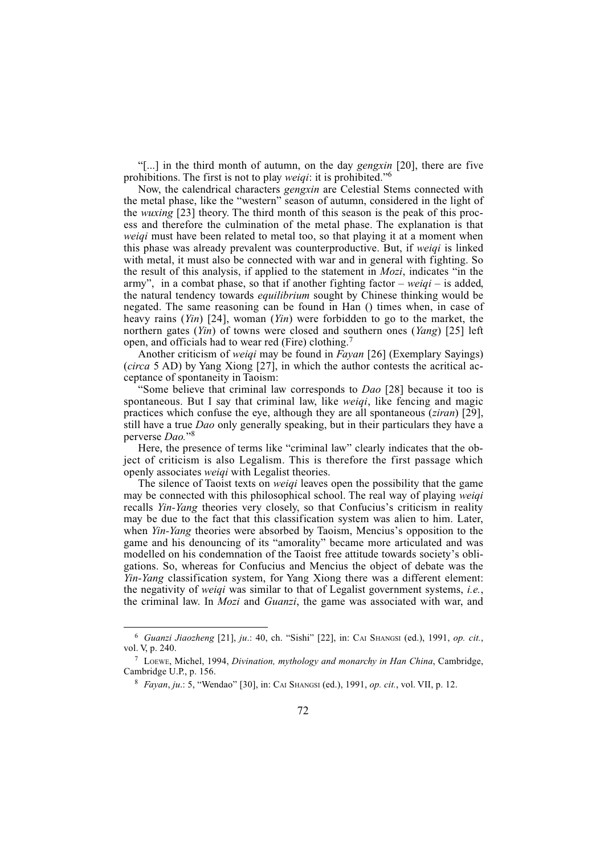[...] in the third month of autumn, on the day gengxin [20], there are five prohibitions. The first is not to play *weiqi*: it is prohibited.<sup>76</sup>

Now, the calendrical characters gengxin are Celestial Stems connected with the metal phase, like the "western" season of autumn, considered in the light of the wuxing [23] theory. The third month of this season is the peak of this process and therefore the culmination of the metal phase. The explanation is that weigi must have been related to metal too, so that playing it at a moment when this phase was already prevalent was counterproductive. But, if weiqi is linked with metal, it must also be connected with war and in general with fighting. So the result of this analysis, if applied to the statement in  $Mozi$ , indicates "in the army", in a combat phase, so that if another fighting factor  $-$  weigi  $-$  is added, the natural tendency towards *equilibrium* sought by Chinese thinking would be negated. The same reasoning can be found in Han () times when, in case of heavy rains  $(Yin)$  [24], woman  $(Yin)$  were forbidden to go to the market, the northern gates *(Yin)* of towns were closed and southern ones *(Yang)* [25] left open, and officials had to wear red (Fire) clothing.<sup>7</sup>

Another criticism of weigi may be found in Fayan [26] (Exemplary Sayings) (circa 5 AD) by Yang Xiong [27], in which the author contests the acritical acceptance of spontaneity in Taoism:

Some believe that criminal law corresponds to *Dao* [28] because it too is spontaneous. But I say that criminal law, like *weigi*, like fencing and magic practices which confuse the eye, although they are all spontaneous (*ziran*) [29], still have a true *Dao* only generally speaking, but in their particulars they have a perverse Dao."<sup>8</sup>

Here, the presence of terms like "criminal law" clearly indicates that the object of criticism is also Legalism. This is therefore the first passage which openly associates weiqi with Legalist theories.

The silence of Taoist texts on weiqi leaves open the possibility that the game may be connected with this philosophical school. The real way of playing *weigi* recalls *Yin-Yang* theories very closely, so that Confucius's criticism in reality may be due to the fact that this classification system was alien to him. Later, when Yin-Yang theories were absorbed by Taoism, Mencius's opposition to the game and his denouncing of its "amorality" became more articulated and was modelled on his condemnation of the Taoist free attitude towards society's obligations. So, whereas for Confucius and Mencius the object of debate was the Yin-Yang classification system, for Yang Xiong there was a different element: the negativity of weiqi was similar to that of Legalist government systems, i.e., the criminal law. In Mozi and Guanzi, the game was associated with war, and

 $6$  Guanzi Jiaozheng [21], ju.: 40, ch. "Sishi" [22], in: CAI SHANGSI (ed.), 1991, op. cit., vol. V, p. 240.

<sup>7</sup> LOEWE, Michel, 1994, Divination, mythology and monarchy in Han China, Cambridge, Cambridge U.P., p. 156.

 $8$  *Fayan, ju.*: 5, "Wendao" [30], in: CAI SHANGSI (ed.), 1991, *op. cit.*, vol. VII, p. 12.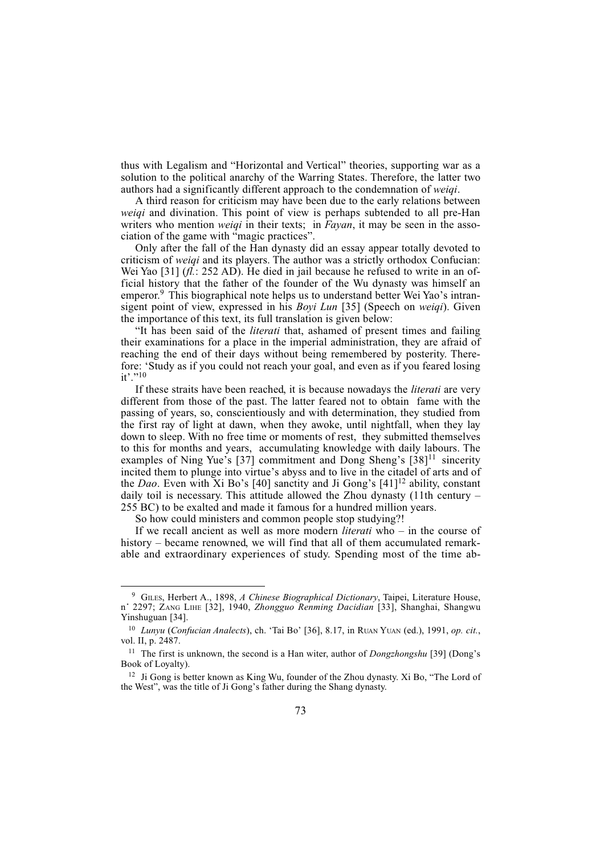thus with Legalism and "Horizontal and Vertical" theories, supporting war as a solution to the political anarchy of the Warring States. Therefore, the latter two authors had a significantly different approach to the condemnation of weiqi.

A third reason for criticism may have been due to the early relations between weiqi and divination. This point of view is perhaps subtended to all pre-Han writers who mention *weigi* in their texts; in *Fayan*, it may be seen in the association of the game with "magic practices".

Only after the fall of the Han dynasty did an essay appear totally devoted to criticism of weiqi and its players. The author was a strictly orthodox Confucian: Wei Yao [31]  $(h. : 252 \text{ AD})$ . He died in jail because he refused to write in an official history that the father of the founder of the Wu dynasty was himself an emperor.<sup>9</sup> This biographical note helps us to understand better Wei Yao's intransigent point of view, expressed in his *Boyi Lun* [35] (Speech on *weigi*). Given the importance of this text, its full translation is given below:

"It has been said of the *literati* that, ashamed of present times and failing their examinations for a place in the imperial administration, they are afraid of reaching the end of their days without being remembered by posterity. Therefore: Study as if you could not reach your goal, and even as if you feared losing  $it$ ." $10$ 

If these straits have been reached, it is because nowadays the literati are very different from those of the past. The latter feared not to obtain fame with the passing of years, so, conscientiously and with determination, they studied from the first ray of light at dawn, when they awoke, until nightfall, when they lay down to sleep. With no free time or moments of rest, they submitted themselves to this for months and years, accumulating knowledge with daily labours. The examples of Ning Yue's [37] commitment and Dong Sheng's  $[38]$ <sup>11</sup> sincerity incited them to plunge into virtue's abyss and to live in the citadel of arts and of the *Dao*. Even with Xi Bo's [40] sanctity and Ji Gong's [41]<sup>12</sup> ability, constant daily toil is necessary. This attitude allowed the Zhou dynasty  $(11$ th century – 255 BC) to be exalted and made it famous for a hundred million years.

So how could ministers and common people stop studying?!

If we recall ancient as well as more modern *literati* who  $-$  in the course of history – became renowned, we will find that all of them accumulated remarkable and extraordinary experiences of study. Spending most of the time ab-

<sup>&</sup>lt;sup>9</sup> GILES, Herbert A., 1898, A Chinese Biographical Dictionary, Taipei, Literature House, n° 2297; ZANG LIHE [32], 1940, Zhongguo Renming Dacidian [33], Shanghai, Shangwu Yinshuguan [34].

 $10$  Lunyu (Confucian Analects), ch. 'Tai Bo' [36], 8.17, in RUAN YUAN (ed.), 1991, op. cit., vol. II, p. 2487.

<sup>&</sup>lt;sup>11</sup> The first is unknown, the second is a Han witer, author of  $Dongzhongshu$  [39] (Dong's Book of Loyalty).

<sup>&</sup>lt;sup>12</sup> Ji Gong is better known as King Wu, founder of the Zhou dynasty. Xi Bo, "The Lord of the West", was the title of Ji Gong's father during the Shang dynasty.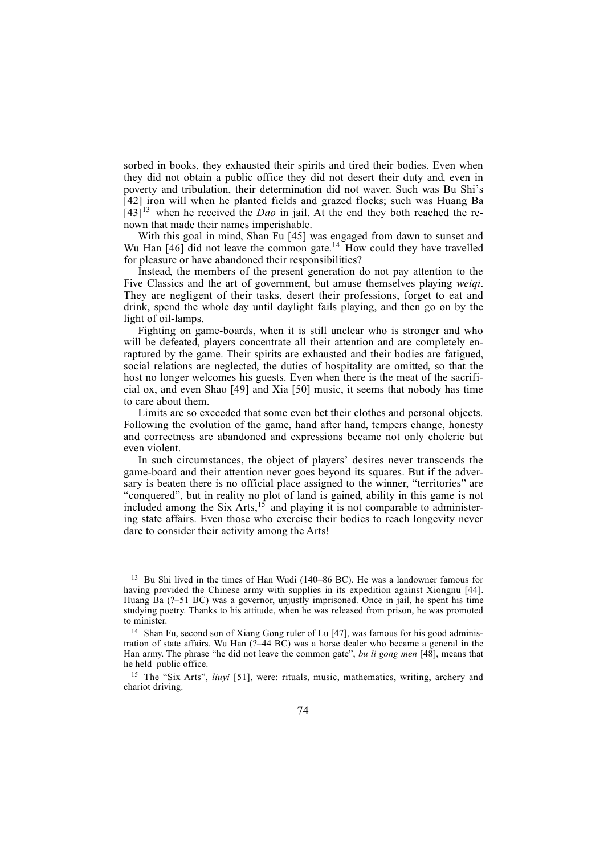sorbed in books, they exhausted their spirits and tired their bodies. Even when they did not obtain a public office they did not desert their duty and, even in poverty and tribulation, their determination did not waver. Such was Bu Shi's [42] iron will when he planted fields and grazed flocks; such was Huang Ba  $[43]^{13}$  when he received the *Dao* in jail. At the end they both reached the renown that made their names imperishable.

With this goal in mind, Shan Fu [45] was engaged from dawn to sunset and Wu Han  $[46]$  did not leave the common gate.<sup>14</sup> How could they have travelled for pleasure or have abandoned their responsibilities?

Instead, the members of the present generation do not pay attention to the Five Classics and the art of government, but amuse themselves playing weiqi. They are negligent of their tasks, desert their professions, forget to eat and drink, spend the whole day until daylight fails playing, and then go on by the light of oil-lamps.

Fighting on game-boards, when it is still unclear who is stronger and who will be defeated, players concentrate all their attention and are completely enraptured by the game. Their spirits are exhausted and their bodies are fatigued, social relations are neglected, the duties of hospitality are omitted, so that the host no longer welcomes his guests. Even when there is the meat of the sacrificial ox, and even Shao [49] and Xia [50] music, it seems that nobody has time to care about them.

Limits are so exceeded that some even bet their clothes and personal objects. Following the evolution of the game, hand after hand, tempers change, honesty and correctness are abandoned and expressions became not only choleric but even violent.

In such circumstances, the object of players' desires never transcends the game-board and their attention never goes beyond its squares. But if the adversary is beaten there is no official place assigned to the winner, "territories" are "conquered", but in reality no plot of land is gained, ability in this game is not included among the Six Arts, $15$  and playing it is not comparable to administering state affairs. Even those who exercise their bodies to reach longevity never dare to consider their activity among the Arts!

<sup>&</sup>lt;sup>13</sup> Bu Shi lived in the times of Han Wudi (140-86 BC). He was a landowner famous for having provided the Chinese army with supplies in its expedition against Xiongnu [44]. Huang Ba  $(2-51 \text{ BC})$  was a governor, unjustly imprisoned. Once in jail, he spent his time studying poetry. Thanks to his attitude, when he was released from prison, he was promoted to minister.

<sup>&</sup>lt;sup>14</sup> Shan Fu, second son of Xiang Gong ruler of Lu [47], was famous for his good administration of state affairs. Wu Han  $(2-44 \text{ BC})$  was a horse dealer who became a general in the Han army. The phrase "he did not leave the common gate", bu li gong men  $[48]$ , means that he held public office.

<sup>&</sup>lt;sup>15</sup> The "Six Arts", liuyi [51], were: rituals, music, mathematics, writing, archery and chariot driving.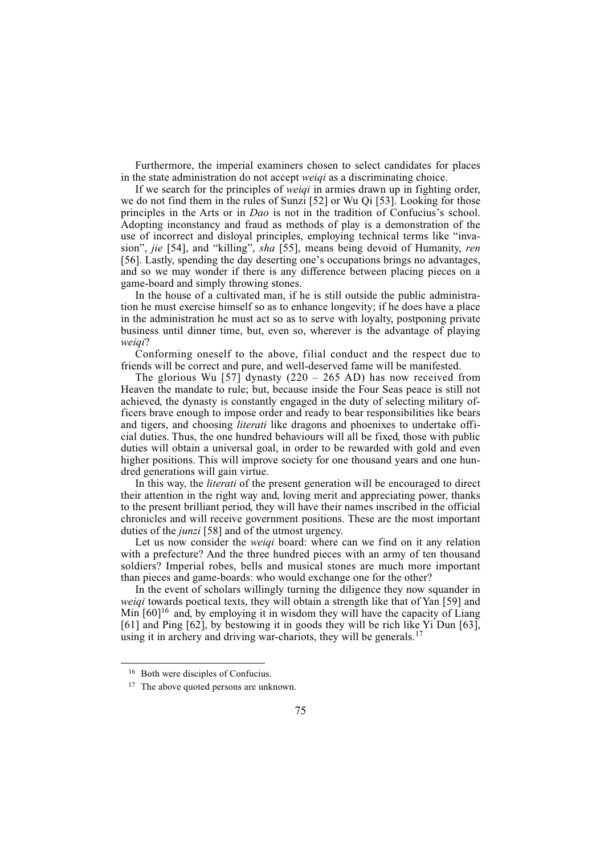Furthermore, the imperial examiners chosen to select candidates for places in the state administration do not accept weiqi as a discriminating choice.

If we search for the principles of weiqi in armies drawn up in fighting order, we do not find them in the rules of Sunzi [52] or Wu Qi [53]. Looking for those principles in the Arts or in *Dao* is not in the tradition of Confucius's school. Adopting inconstancy and fraud as methods of play is a demonstration of the use of incorrect and disloyal principles, employing technical terms like "invasion", *jie* [54], and "killing", *sha* [55], means being devoid of Humanity, *ren* [56]. Lastly, spending the day deserting one's occupations brings no advantages, and so we may wonder if there is any difference between placing pieces on a game-board and simply throwing stones.

In the house of a cultivated man, if he is still outside the public administration he must exercise himself so as to enhance longevity; if he does have a place in the administration he must act so as to serve with loyalty, postponing private business until dinner time, but, even so, wherever is the advantage of playing weigi?

Conforming oneself to the above, filial conduct and the respect due to friends will be correct and pure, and well-deserved fame will be manifested.

The glorious Wu [57] dynasty  $(220 - 265$  AD) has now received from Heaven the mandate to rule; but, because inside the Four Seas peace is still not achieved, the dynasty is constantly engaged in the duty of selecting military officers brave enough to impose order and ready to bear responsibilities like bears and tigers, and choosing literati like dragons and phoenixes to undertake official duties. Thus, the one hundred behaviours will all be fixed, those with public duties will obtain a universal goal, in order to be rewarded with gold and even higher positions. This will improve society for one thousand years and one hundred generations will gain virtue.

In this way, the *literati* of the present generation will be encouraged to direct their attention in the right way and, loving merit and appreciating power, thanks to the present brilliant period, they will have their names inscribed in the official chronicles and will receive government positions. These are the most important duties of the *junzi* [58] and of the utmost urgency.

Let us now consider the *weiqi* board: where can we find on it any relation with a prefecture? And the three hundred pieces with an army of ten thousand soldiers? Imperial robes, bells and musical stones are much more important than pieces and game-boards: who would exchange one for the other?

In the event of scholars willingly turning the diligence they now squander in weiqi towards poetical texts, they will obtain a strength like that of Yan [59] and Min  $[60]^{16}$  and, by employing it in wisdom they will have the capacity of Liang [61] and Ping [62], by bestowing it in goods they will be rich like Yi Dun [63], using it in archery and driving war-chariots, they will be generals.<sup>17</sup>

<sup>16</sup> Both were disciples of Confucius.

<sup>&</sup>lt;sup>17</sup> The above quoted persons are unknown.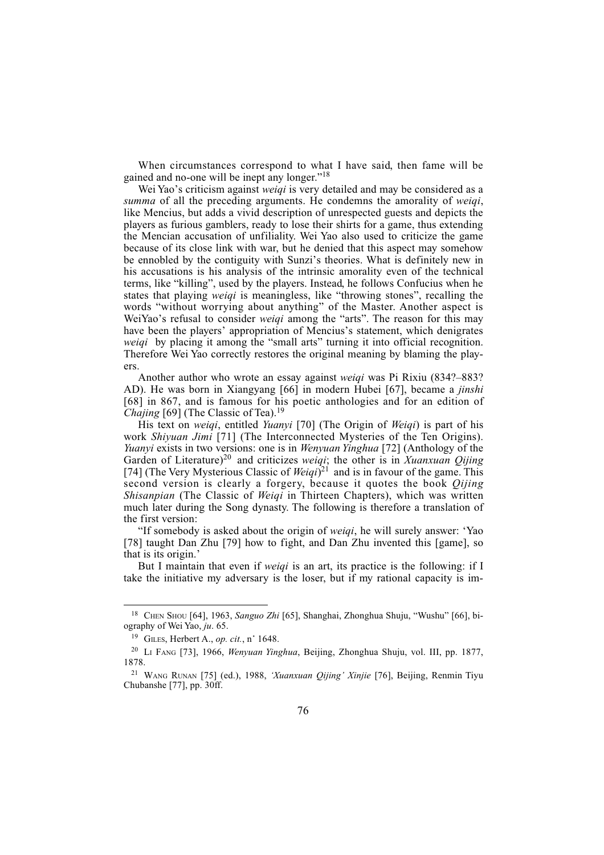When circumstances correspond to what I have said, then fame will be gained and no-one will be inept any longer." $18$ 

Wei Yao's criticism against weiqi is very detailed and may be considered as a summa of all the preceding arguments. He condemns the amorality of weigi, like Mencius, but adds a vivid description of unrespected guests and depicts the players as furious gamblers, ready to lose their shirts for a game, thus extending the Mencian accusation of unfiliality. Wei Yao also used to criticize the game because of its close link with war, but he denied that this aspect may somehow be ennobled by the contiguity with Sunzi's theories. What is definitely new in his accusations is his analysis of the intrinsic amorality even of the technical terms, like "killing", used by the players. Instead, he follows Confucius when he states that playing *weigi* is meaningless, like "throwing stones", recalling the words "without worrying about anything" of the Master. Another aspect is WeiYao's refusal to consider weiqi among the "arts". The reason for this may have been the players' appropriation of Mencius's statement, which denigrates weigi by placing it among the "small arts" turning it into official recognition. Therefore Wei Yao correctly restores the original meaning by blaming the players.

Another author who wrote an essay against weiqi was Pi Rixiu (834?-883? AD). He was born in Xiangyang [66] in modern Hubei [67], became a jinshi [68] in 867, and is famous for his poetic anthologies and for an edition of Chajing  $[69]$  (The Classic of Tea).<sup>19</sup>

His text on *weiqi*, entitled *Yuanyi* [70] (The Origin of *Weiqi*) is part of his work Shiyuan Jimi [71] (The Interconnected Mysteries of the Ten Origins). Yuanyi exists in two versions: one is in *Wenyuan Yinghua* [72] (Anthology of the Garden of Literature)<sup>20</sup> and criticizes weigi; the other is in Xuanxuan Qijing [74] (The Very Mysterious Classic of Weiqi)<sup>21</sup> and is in favour of the game. This second version is clearly a forgery, because it quotes the book *Oijing* Shisanpian (The Classic of Weigi in Thirteen Chapters), which was written much later during the Song dynasty. The following is therefore a translation of the first version:

"If somebody is asked about the origin of weigi, he will surely answer: 'Yao [78] taught Dan Zhu [79] how to fight, and Dan Zhu invented this [game], so that is its origin.

But I maintain that even if weiqi is an art, its practice is the following: if I take the initiative my adversary is the loser, but if my rational capacity is im-

<sup>&</sup>lt;sup>18</sup> CHEN SHOU [64], 1963, Sanguo Zhi [65], Shanghai, Zhonghua Shuju, "Wushu" [66], biography of Wei Yao, ju. 65.

<sup>&</sup>lt;sup>19</sup> GILES, Herbert A., *op. cit.*, n° 1648.

<sup>20</sup> LI FANG [73], 1966, Wenyuan Yinghua, Beijing, Zhonghua Shuju, vol. III, pp. 1877, 1878.

<sup>&</sup>lt;sup>21</sup> WANG RUNAN [75] (ed.), 1988, 'Xuanxuan Qijing' Xinjie [76], Beijing, Renmin Tiyu Chubanshe [77], pp. 30ff.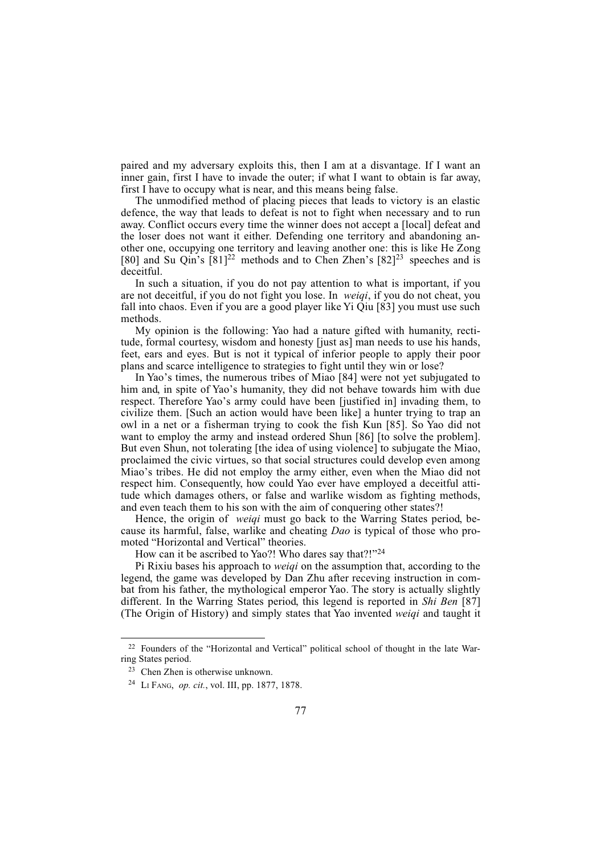paired and my adversary exploits this, then I am at a disvantage. If I want an inner gain, first I have to invade the outer; if what I want to obtain is far away, first I have to occupy what is near, and this means being false.

The unmodified method of placing pieces that leads to victory is an elastic defence, the way that leads to defeat is not to fight when necessary and to run away. Conflict occurs every time the winner does not accept a [local] defeat and the loser does not want it either. Defending one territory and abandoning another one, occupying one territory and leaving another one: this is like He Zong [80] and Su Qin's  $[81]^{22}$  methods and to Chen Zhen's  $[82]^{23}$  speeches and is deceitful.

In such a situation, if you do not pay attention to what is important, if you are not deceitful, if you do not fight you lose. In weiqi, if you do not cheat, you fall into chaos. Even if you are a good player like Yi Qiu [83] you must use such methods.

My opinion is the following: Yao had a nature gifted with humanity, rectitude, formal courtesy, wisdom and honesty [just as] man needs to use his hands, feet, ears and eyes. But is not it typical of inferior people to apply their poor plans and scarce intelligence to strategies to fight until they win or lose?

In Yao's times, the numerous tribes of Miao [84] were not yet subjugated to him and, in spite of Yao's humanity, they did not behave towards him with due respect. Therefore Yao's army could have been [justified in] invading them, to civilize them. [Such an action would have been like] a hunter trying to trap an owl in a net or a fisherman trying to cook the fish Kun [85]. So Yao did not want to employ the army and instead ordered Shun [86] [to solve the problem]. But even Shun, not tolerating [the idea of using violence] to subjugate the Miao, proclaimed the civic virtues, so that social structures could develop even among Miao's tribes. He did not employ the army either, even when the Miao did not respect him. Consequently, how could Yao ever have employed a deceitful attitude which damages others, or false and warlike wisdom as fighting methods, and even teach them to his son with the aim of conquering other states?!

Hence, the origin of *weiqi* must go back to the Warring States period, because its harmful, false, warlike and cheating Dao is typical of those who promoted "Horizontal and Vertical" theories.

How can it be ascribed to Yao?! Who dares say that?!"<sup>24</sup>

Pi Rixiu bases his approach to weiqi on the assumption that, according to the legend, the game was developed by Dan Zhu after receving instruction in combat from his father, the mythological emperor Yao. The story is actually slightly different. In the Warring States period, this legend is reported in Shi Ben [87] (The Origin of History) and simply states that Yao invented weiqi and taught it

 $22$  Founders of the "Horizontal and Vertical" political school of thought in the late Warring States period.

<sup>23</sup> Chen Zhen is otherwise unknown.

<sup>24</sup> LI FANG, op. cit., vol. III, pp. 1877, 1878.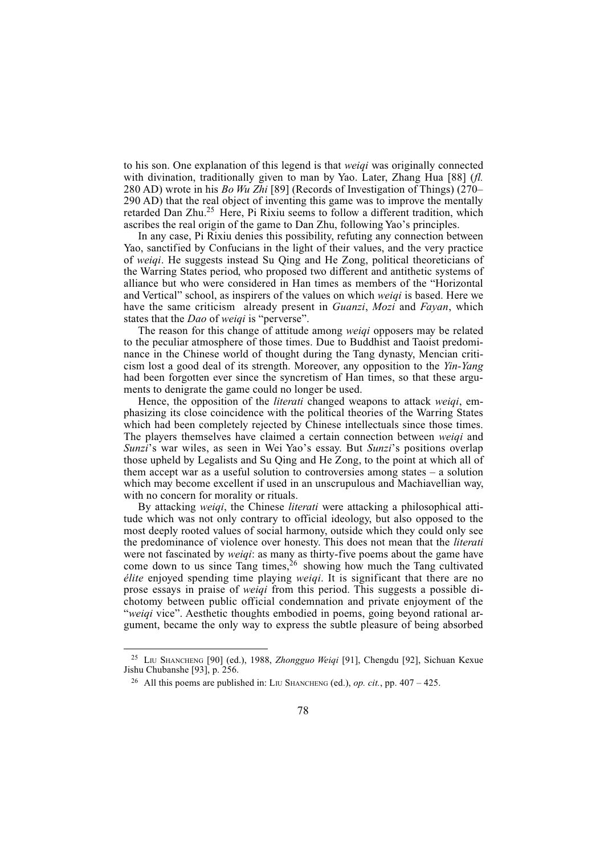to his son. One explanation of this legend is that *weigi* was originally connected with divination, traditionally given to man by Yao. Later, Zhang Hua [88] (fl. 280 AD) wrote in his Bo Wu Zhi [89] (Records of Investigation of Things) (270 290 AD) that the real object of inventing this game was to improve the mentally retarded Dan Zhu.<sup>25</sup> Here, Pi Rixiu seems to follow a different tradition, which ascribes the real origin of the game to Dan Zhu, following Yao's principles.

In any case, Pi Rixiu denies this possibility, refuting any connection between Yao, sanctified by Confucians in the light of their values, and the very practice of weiqi. He suggests instead Su Qing and He Zong, political theoreticians of the Warring States period, who proposed two different and antithetic systems of alliance but who were considered in Han times as members of the "Horizontal and Vertical" school, as inspirers of the values on which *weigi* is based. Here we have the same criticism already present in *Guanzi*, *Mozi* and *Fayan*, which states that the *Dao* of *weigi* is "perverse".

The reason for this change of attitude among *weigi* opposers may be related to the peculiar atmosphere of those times. Due to Buddhist and Taoist predominance in the Chinese world of thought during the Tang dynasty, Mencian criticism lost a good deal of its strength. Moreover, any opposition to the Yin-Yang had been forgotten ever since the syncretism of Han times, so that these arguments to denigrate the game could no longer be used.

Hence, the opposition of the *literati* changed weapons to attack *weigi*, emphasizing its close coincidence with the political theories of the Warring States which had been completely rejected by Chinese intellectuals since those times. The players themselves have claimed a certain connection between weiqi and Sunzi's war wiles, as seen in Wei Yao's essay. But Sunzi's positions overlap those upheld by Legalists and Su Qing and He Zong, to the point at which all of them accept war as a useful solution to controversies among states  $-$  a solution which may become excellent if used in an unscrupulous and Machiavellian way, with no concern for morality or rituals.

By attacking *weigi*, the Chinese *literati* were attacking a philosophical attitude which was not only contrary to official ideology, but also opposed to the most deeply rooted values of social harmony, outside which they could only see the predominance of violence over honesty. This does not mean that the literati were not fascinated by *weiqi*: as many as thirty-five poems about the game have come down to us since Tang times,  $26$  showing how much the Tang cultivated élite enjoyed spending time playing weiqi. It is significant that there are no prose essays in praise of weiqi from this period. This suggests a possible dichotomy between public official condemnation and private enjoyment of the "weiqi vice". Aesthetic thoughts embodied in poems, going beyond rational argument, became the only way to express the subtle pleasure of being absorbed

<sup>25</sup> LIU SHANCHENG [90] (ed.), 1988, Zhongguo Weiqi [91], Chengdu [92], Sichuan Kexue Jishu Chubanshe [93], p. 256.

<sup>&</sup>lt;sup>26</sup> All this poems are published in: LIU SHANCHENG (ed.), op. cit., pp.  $407 - 425$ .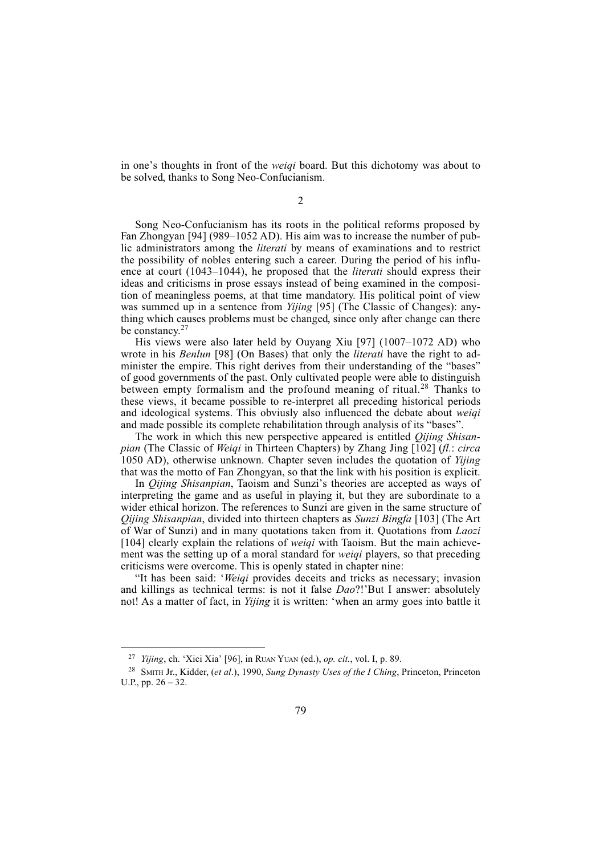in one's thoughts in front of the *weigi* board. But this dichotomy was about to be solved, thanks to Song Neo-Confucianism.

Song Neo-Confucianism has its roots in the political reforms proposed by Fan Zhongyan  $[94]$  (989–1052 AD). His aim was to increase the number of public administrators among the literati by means of examinations and to restrict the possibility of nobles entering such a career. During the period of his influence at court (1043–1044), he proposed that the *literati* should express their ideas and criticisms in prose essays instead of being examined in the composition of meaningless poems, at that time mandatory. His political point of view was summed up in a sentence from *Yijing* [95] (The Classic of Changes): anything which causes problems must be changed, since only after change can there be constancy. $27$ 

His views were also later held by Ouyang Xiu [97]  $(1007-1072$  AD) who wrote in his *Benlun* [98] (On Bases) that only the *literati* have the right to administer the empire. This right derives from their understanding of the "bases" of good governments of the past. Only cultivated people were able to distinguish between empty formalism and the profound meaning of ritual.<sup>28</sup> Thanks to these views, it became possible to re-interpret all preceding historical periods and ideological systems. This obviusly also influenced the debate about weiqi and made possible its complete rehabilitation through analysis of its "bases".

The work in which this new perspective appeared is entitled *Qijing Shisan*pian (The Classic of Weiqi in Thirteen Chapters) by Zhang Jing [102] (fl.: circa 1050 AD), otherwise unknown. Chapter seven includes the quotation of Yijing that was the motto of Fan Zhongyan, so that the link with his position is explicit.

In *Oijing Shisanpian*, Taoism and Sunzi's theories are accepted as ways of interpreting the game and as useful in playing it, but they are subordinate to a wider ethical horizon. The references to Sunzi are given in the same structure of Qijing Shisanpian, divided into thirteen chapters as Sunzi Bingfa [103] (The Art of War of Sunzi) and in many quotations taken from it. Quotations from Laozi [104] clearly explain the relations of *weigi* with Taoism. But the main achievement was the setting up of a moral standard for *weiqi* players, so that preceding criticisms were overcome. This is openly stated in chapter nine:

"It has been said: 'Weigi provides deceits and tricks as necessary; invasion and killings as technical terms: is not it false  $Dao$ ?!'But I answer: absolutely not! As a matter of fact, in Yijing it is written: 'when an army goes into battle it

<sup>&</sup>lt;sup>27</sup> *Yijing*, ch. 'Xici Xia' [96], in RUAN YUAN (ed.), op. cit., vol. I, p. 89.

<sup>&</sup>lt;sup>28</sup> SMITH Jr., Kidder, (et al.), 1990, Sung Dynasty Uses of the I Ching, Princeton, Princeton U.P., pp.  $26 - 32$ .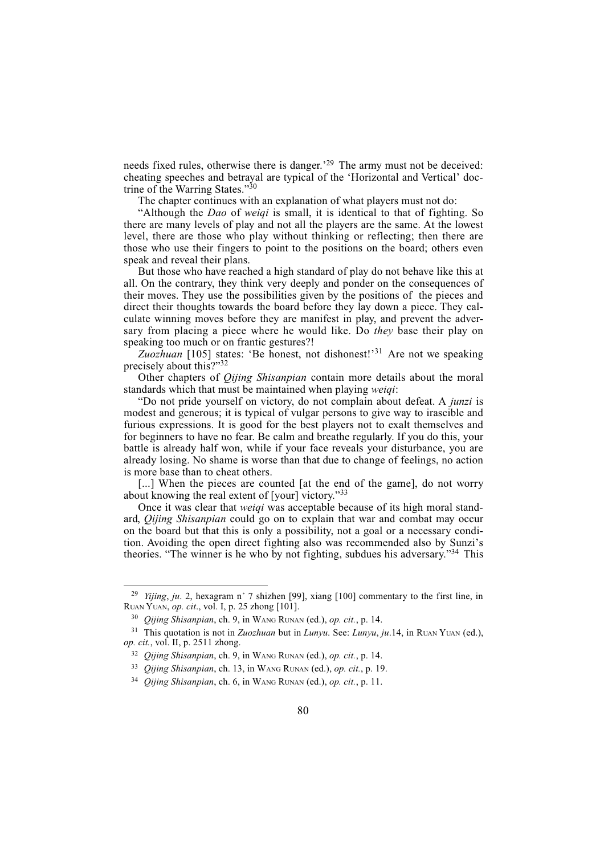needs fixed rules, otherwise there is danger.<sup>29</sup> The army must not be deceived: cheating speeches and betrayal are typical of the 'Horizontal and Vertical' doctrine of the Warring States." $30$ 

The chapter continues with an explanation of what players must not do:

Although the Dao of weiqi is small, it is identical to that of fighting. So there are many levels of play and not all the players are the same. At the lowest level, there are those who play without thinking or reflecting; then there are those who use their fingers to point to the positions on the board; others even speak and reveal their plans.

But those who have reached a high standard of play do not behave like this at all. On the contrary, they think very deeply and ponder on the consequences of their moves. They use the possibilities given by the positions of the pieces and direct their thoughts towards the board before they lay down a piece. They calculate winning moves before they are manifest in play, and prevent the adversary from placing a piece where he would like. Do they base their play on speaking too much or on frantic gestures?!

Zuozhuan  $[105]$  states: 'Be honest, not dishonest!'<sup>31</sup> Are not we speaking precisely about this?"32

Other chapters of Qijing Shisanpian contain more details about the moral standards which that must be maintained when playing weiqi:

Do not pride yourself on victory, do not complain about defeat. A junzi is modest and generous; it is typical of vulgar persons to give way to irascible and furious expressions. It is good for the best players not to exalt themselves and for beginners to have no fear. Be calm and breathe regularly. If you do this, your battle is already half won, while if your face reveals your disturbance, you are already losing. No shame is worse than that due to change of feelings, no action is more base than to cheat others.

[...] When the pieces are counted [at the end of the game], do not worry about knowing the real extent of [your] victory."33

Once it was clear that weigi was acceptable because of its high moral standard, *Qijing Shisanpian* could go on to explain that war and combat may occur on the board but that this is only a possibility, not a goal or a necessary condition. Avoiding the open direct fighting also was recommended also by Sunzi's theories. "The winner is he who by not fighting, subdues his adversary."<sup>34</sup> This

<sup>&</sup>lt;sup>29</sup> *Yijing, ju.* 2, hexagram n° 7 shizhen [99], xiang [100] commentary to the first line, in RUAN YUAN, op. cit., vol. I, p. 25 zhong [101].

 $30$  *Qijing Shisanpian*, ch. 9, in WANG RUNAN (ed.), op. cit., p. 14.

<sup>&</sup>lt;sup>31</sup> This quotation is not in *Zuozhuan* but in *Lunyu*. See: *Lunyu*, *ju*.14, in RUAN YUAN (ed.), op. cit., vol. II, p. 2511 zhong.

 $32$  *Oijing Shisanpian, ch. 9, in WANG RUNAN (ed.), op. cit., p.* 14.

<sup>33</sup> Qijing Shisanpian, ch. 13, in WANG RUNAN (ed.), op. cit., p. 19.

<sup>&</sup>lt;sup>34</sup> Oijing Shisanpian, ch. 6, in WANG RUNAN (ed.), op. cit., p. 11.